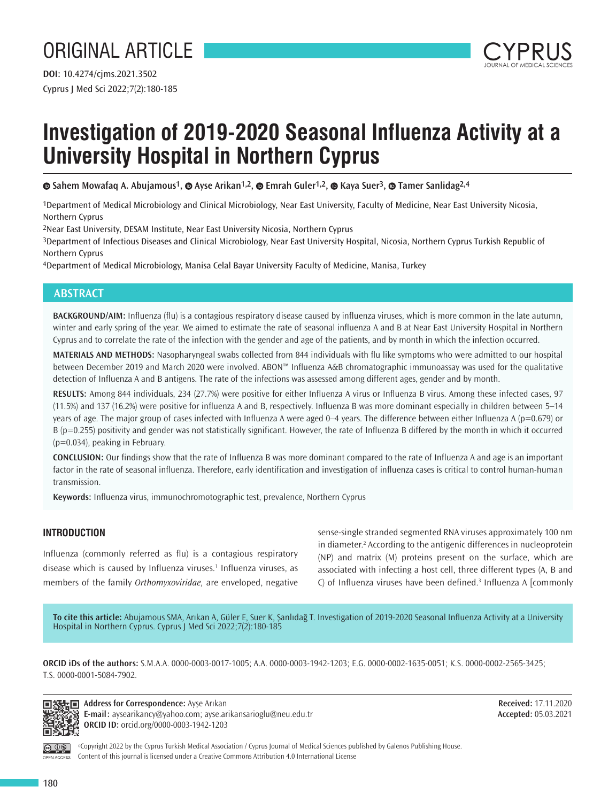# ORIGINAL ARTICLE



# **Investigation of 2019-2020 Seasonal Influenza Activity at a University Hospital in Northern Cyprus**

**Sahem Mowafaq A. Abujamous1,Ayse Arikan1,2,Emrah Guler1,2,Kaya Suer3,Tamer Sanlidag2,4**

1Department of Medical Microbiology and Clinical Microbiology, Near East University, Faculty of Medicine, Near East University Nicosia, Northern Cyprus

2Near East University, DESAM Institute, Near East University Nicosia, Northern Cyprus

3Department of Infectious Diseases and Clinical Microbiology, Near East University Hospital, Nicosia, Northern Cyprus Turkish Republic of Northern Cyprus

4Department of Medical Microbiology, Manisa Celal Bayar University Faculty of Medicine, Manisa, Turkey

# **ABSTRACT**

**BACKGROUND/AIM:** Influenza (flu) is a contagious respiratory disease caused by influenza viruses, which is more common in the late autumn, winter and early spring of the year. We aimed to estimate the rate of seasonal influenza A and B at Near East University Hospital in Northern Cyprus and to correlate the rate of the infection with the gender and age of the patients, and by month in which the infection occurred.

**MATERIALS AND METHODS:** Nasopharyngeal swabs collected from 844 individuals with flu like symptoms who were admitted to our hospital between December 2019 and March 2020 were involved. ABON™ Influenza A&B chromatographic immunoassay was used for the qualitative detection of Influenza A and B antigens. The rate of the infections was assessed among different ages, gender and by month.

**RESULTS:** Among 844 individuals, 234 (27.7%) were positive for either Influenza A virus or Influenza B virus. Among these infected cases, 97 (11.5%) and 137 (16.2%) were positive for influenza A and B, respectively. Influenza B was more dominant especially in children between 5–14 years of age. The major group of cases infected with Influenza A were aged 0–4 years. The difference between either Influenza A (p=0.679) or B (p=0.255) positivity and gender was not statistically significant. However, the rate of Influenza B differed by the month in which it occurred (p=0.034), peaking in February.

**CONCLUSION:** Our findings show that the rate of Influenza B was more dominant compared to the rate of Influenza A and age is an important factor in the rate of seasonal influenza. Therefore, early identification and investigation of influenza cases is critical to control human-human transmission.

**Keywords:** Influenza virus, immunochromotographic test, prevalence, Northern Cyprus

# **INTRODUCTION**

Influenza (commonly referred as flu) is a contagious respiratory disease which is caused by Influenza viruses.<sup>1</sup> Influenza viruses, as members of the family *Orthomyxoviridae,* are enveloped, negative

sense-single stranded segmented RNA viruses approximately 100 nm in diameter.<sup>2</sup> According to the antigenic differences in nucleoprotein (NP) and matrix (M) proteins present on the surface, which are associated with infecting a host cell, three different types (A, B and  $C$ ) of Influenza viruses have been defined.<sup>3</sup> Influenza A [commonly

**To cite this article:** Abujamous SMA, Arıkan A, Güler E, Suer K, Şanlıdağ T. Investigation of 2019-2020 Seasonal Influenza Activity at a University Hospital in Northern Cyprus. Cyprus J Med Sci 2022;7(2):180-185

**ORCID iDs of the authors:** S.M.A.A. 0000-0003-0017-1005; A.A. 0000-0003-1942-1203; E.G. 0000-0002-1635-0051; K.S. 0000-0002-2565-3425; T.S. 0000-0001-5084-7902.



**福士同 Address for Correspondence:** Ayşe Arıkan **E-mail:** aysearikancy@yahoo.com; ayse.arikansarioglu@neu.edu.tr **ORCID ID:** orcid.org/0000-0003-1942-1203

**Received:** 17.11.2020 **Accepted:** 05.03.2021

OPEN ACCESS

©Copyright 2022 by the Cyprus Turkish Medical Association / Cyprus Journal of Medical Sciences published by Galenos Publishing House. Content of this journal is licensed under a Creative Commons Attribution 4.0 International License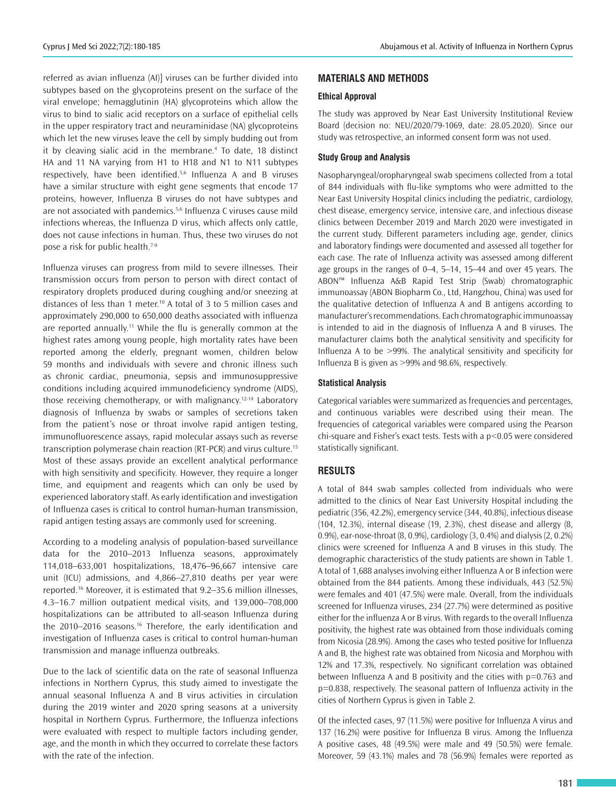referred as avian influenza (AI)] viruses can be further divided into subtypes based on the glycoproteins present on the surface of the viral envelope; hemagglutinin (HA) glycoproteins which allow the virus to bind to sialic acid receptors on a surface of epithelial cells in the upper respiratory tract and neuraminidase (NA) glycoproteins which let the new viruses leave the cell by simply budding out from it by cleaving sialic acid in the membrane.<sup>4</sup> To date, 18 distinct HA and 11 NA varying from H1 to H18 and N1 to N11 subtypes respectively, have been identified.<sup>5,6</sup> Influenza A and B viruses have a similar structure with eight gene segments that encode 17 proteins, however, Influenza B viruses do not have subtypes and are not associated with pandemics.<sup>5,6</sup> Influenza C viruses cause mild infections whereas, the Influenza D virus, which affects only cattle, does not cause infections in human. Thus, these two viruses do not pose a risk for public health.7-9

Influenza viruses can progress from mild to severe illnesses. Their transmission occurs from person to person with direct contact of respiratory droplets produced during coughing and/or sneezing at distances of less than 1 meter.<sup>10</sup> A total of 3 to 5 million cases and approximately 290,000 to 650,000 deaths associated with influenza are reported annually.<sup>11</sup> While the flu is generally common at the highest rates among young people, high mortality rates have been reported among the elderly, pregnant women, children below 59 months and individuals with severe and chronic illness such as chronic cardiac, pneumonia, sepsis and immunosuppressive conditions including acquired immunodeficiency syndrome (AIDS), those receiving chemotherapy, or with malignancy.12-14 Laboratory diagnosis of Influenza by swabs or samples of secretions taken from the patient's nose or throat involve rapid antigen testing, immunofluorescence assays, rapid molecular assays such as reverse transcription polymerase chain reaction (RT-PCR) and virus culture.<sup>15</sup> Most of these assays provide an excellent analytical performance with high sensitivity and specificity. However, they require a longer time, and equipment and reagents which can only be used by experienced laboratory staff. As early identification and investigation of Influenza cases is critical to control human-human transmission, rapid antigen testing assays are commonly used for screening.

According to a modeling analysis of population-based surveillance data for the 2010–2013 Influenza seasons, approximately 114,018–633,001 hospitalizations, 18,476–96,667 intensive care unit (ICU) admissions, and 4,866–27,810 deaths per year were reported.16 Moreover, it is estimated that 9.2–35.6 million illnesses, 4.3–16.7 million outpatient medical visits, and 139,000–708,000 hospitalizations can be attributed to all-season Influenza during the 2010–2016 seasons.<sup>16</sup> Therefore, the early identification and investigation of Influenza cases is critical to control human-human transmission and manage influenza outbreaks.

Due to the lack of scientific data on the rate of seasonal Influenza infections in Northern Cyprus, this study aimed to investigate the annual seasonal Influenza A and B virus activities in circulation during the 2019 winter and 2020 spring seasons at a university hospital in Northern Cyprus. Furthermore, the Influenza infections were evaluated with respect to multiple factors including gender, age, and the month in which they occurred to correlate these factors with the rate of the infection.

# **MATERIALS AND METHODS**

## **Ethical Approval**

The study was approved by Near East University Institutional Review Board (decision no: NEU/2020/79-1069, date: 28.05.2020). Since our study was retrospective, an informed consent form was not used.

## **Study Group and Analysis**

Nasopharyngeal/oropharyngeal swab specimens collected from a total of 844 individuals with flu-like symptoms who were admitted to the Near East University Hospital clinics including the pediatric, cardiology, chest disease, emergency service, intensive care, and infectious disease clinics between December 2019 and March 2020 were investigated in the current study. Different parameters including age, gender, clinics and laboratory findings were documented and assessed all together for each case. The rate of Influenza activity was assessed among different age groups in the ranges of 0–4, 5–14, 15–44 and over 45 years. The ABON™ Influenza A&B Rapid Test Strip (Swab) chromatographic immunoassay (ABON Biopharm Co., Ltd, Hangzhou, China) was used for the qualitative detection of Influenza A and B antigens according to manufacturer's recommendations. Each chromatographic immunoassay is intended to aid in the diagnosis of Influenza A and B viruses. The manufacturer claims both the analytical sensitivity and specificity for Influenza A to be >99%. The analytical sensitivity and specificity for Influenza B is given as >99% and 98.6%, respectively.

### **Statistical Analysis**

Categorical variables were summarized as frequencies and percentages, and continuous variables were described using their mean. The frequencies of categorical variables were compared using the Pearson chi-square and Fisher's exact tests. Tests with a p<0.05 were considered statistically significant.

## **RESULTS**

A total of 844 swab samples collected from individuals who were admitted to the clinics of Near East University Hospital including the pediatric (356, 42.2%), emergency service (344, 40.8%), infectious disease (104, 12.3%), internal disease (19, 2.3%), chest disease and allergy (8, 0.9%), ear-nose-throat (8, 0.9%), cardiology (3, 0.4%) and dialysis (2, 0.2%) clinics were screened for Influenza A and B viruses in this study. The demographic characteristics of the study patients are shown in Table 1. A total of 1,688 analyses involving either Influenza A or B infection were obtained from the 844 patients. Among these individuals, 443 (52.5%) were females and 401 (47.5%) were male. Overall, from the individuals screened for Influenza viruses, 234 (27.7%) were determined as positive either for the influenza A or B virus. With regards to the overall Influenza positivity, the highest rate was obtained from those individuals coming from Nicosia (28.9%). Among the cases who tested positive for Influenza A and B, the highest rate was obtained from Nicosia and Morphou with 12% and 17.3%, respectively. No significant correlation was obtained between Influenza A and B positivity and the cities with p=0.763 and p=0.838, respectively. The seasonal pattern of Influenza activity in the cities of Northern Cyprus is given in Table 2.

Of the infected cases, 97 (11.5%) were positive for Influenza A virus and 137 (16.2%) were positive for Influenza B virus. Among the Influenza A positive cases, 48 (49.5%) were male and 49 (50.5%) were female. Moreover, 59 (43.1%) males and 78 (56.9%) females were reported as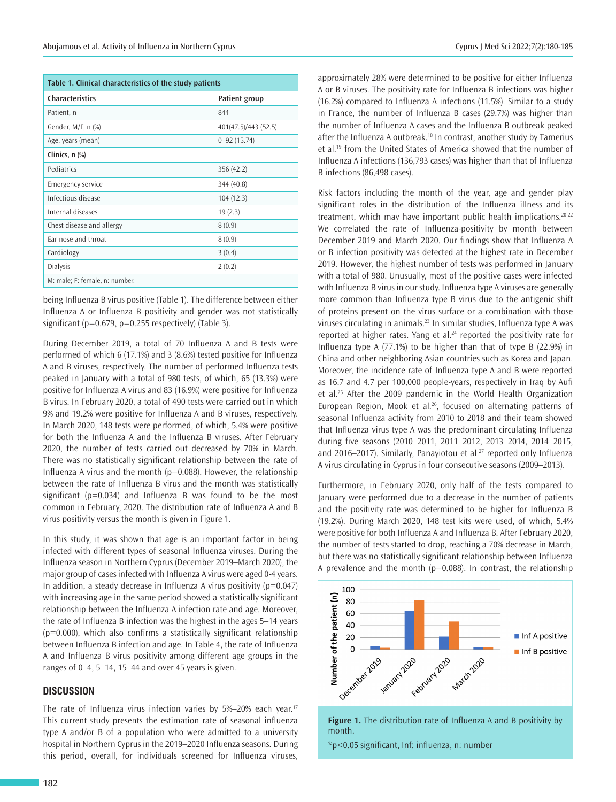| Table 1. Clinical characteristics of the study patients |                      |  |  |  |  |
|---------------------------------------------------------|----------------------|--|--|--|--|
| <b>Characteristics</b>                                  | Patient group        |  |  |  |  |
| Patient, n                                              | 844                  |  |  |  |  |
| Gender, M/F, n (%)                                      | 401(47.5)/443 (52.5) |  |  |  |  |
| Age, years (mean)                                       | $0 - 92(15.74)$      |  |  |  |  |
| Clinics, n (%)                                          |                      |  |  |  |  |
| Pediatrics                                              | 356 (42.2)           |  |  |  |  |
| <b>Emergency service</b>                                | 344 (40.8)           |  |  |  |  |
| Infectious disease                                      | 104(12.3)            |  |  |  |  |
| Internal diseases                                       | 19(2.3)              |  |  |  |  |
| Chest disease and allergy                               | 8(0.9)               |  |  |  |  |
| Far nose and throat                                     | 8(0.9)               |  |  |  |  |
| Cardiology                                              | 3(0.4)               |  |  |  |  |
| <b>Dialysis</b>                                         | 2(0.2)               |  |  |  |  |
| M: male; F: female, n: number.                          |                      |  |  |  |  |

being Influenza B virus positive (Table 1). The difference between either Influenza A or Influenza B positivity and gender was not statistically significant ( $p=0.679$ ,  $p=0.255$  respectively) (Table 3).

During December 2019, a total of 70 Influenza A and B tests were performed of which 6 (17.1%) and 3 (8.6%) tested positive for Influenza A and B viruses, respectively. The number of performed Influenza tests peaked in January with a total of 980 tests, of which, 65 (13.3%) were positive for Influenza A virus and 83 (16.9%) were positive for Influenza B virus. In February 2020, a total of 490 tests were carried out in which 9% and 19.2% were positive for Influenza A and B viruses, respectively. In March 2020, 148 tests were performed, of which, 5.4% were positive for both the Influenza A and the Influenza B viruses. After February 2020, the number of tests carried out decreased by 70% in March. There was no statistically significant relationship between the rate of Influenza A virus and the month ( $p=0.088$ ). However, the relationship between the rate of Influenza B virus and the month was statistically significant ( $p=0.034$ ) and Influenza B was found to be the most common in February, 2020. The distribution rate of Influenza A and B virus positivity versus the month is given in Figure 1.

In this study, it was shown that age is an important factor in being infected with different types of seasonal Influenza viruses. During the Influenza season in Northern Cyprus (December 2019–March 2020), the major group of cases infected with Influenza A virus were aged 0-4 years. In addition, a steady decrease in Influenza A virus positivity  $(p=0.047)$ with increasing age in the same period showed a statistically significant relationship between the Influenza A infection rate and age. Moreover, the rate of Influenza B infection was the highest in the ages 5–14 years  $(p=0.000)$ , which also confirms a statistically significant relationship between Influenza B infection and age. In Table 4, the rate of Influenza A and Influenza B virus positivity among different age groups in the ranges of 0–4, 5–14, 15–44 and over 45 years is given.

# **DISCUSSION**

The rate of Influenza virus infection varies by 5%–20% each year.<sup>17</sup> This current study presents the estimation rate of seasonal influenza type A and/or B of a population who were admitted to a university hospital in Northern Cyprus in the 2019–2020 Influenza seasons. During this period, overall, for individuals screened for Influenza viruses,

approximately 28% were determined to be positive for either Influenza A or B viruses. The positivity rate for Influenza B infections was higher (16.2%) compared to Influenza A infections (11.5%). Similar to a study in France, the number of Influenza B cases (29.7%) was higher than the number of Influenza A cases and the Influenza B outbreak peaked after the Influenza A outbreak.<sup>18</sup> In contrast, another study by Tamerius et al.<sup>19</sup> from the United States of America showed that the number of Influenza A infections (136,793 cases) was higher than that of Influenza B infections (86,498 cases).

Risk factors including the month of the year, age and gender play significant roles in the distribution of the Influenza illness and its treatment, which may have important public health implications.<sup>20-22</sup> We correlated the rate of Influenza-positivity by month between December 2019 and March 2020. Our findings show that Influenza A or B infection positivity was detected at the highest rate in December 2019. However, the highest number of tests was performed in January with a total of 980. Unusually, most of the positive cases were infected with Influenza B virus in our study. Influenza type A viruses are generally more common than Influenza type B virus due to the antigenic shift of proteins present on the virus surface or a combination with those viruses circulating in animals.<sup>23</sup> In similar studies, Influenza type A was reported at higher rates. Yang et al.<sup>24</sup> reported the positivity rate for Influenza type A (77.1%) to be higher than that of type B (22.9%) in China and other neighboring Asian countries such as Korea and Japan. Moreover, the incidence rate of Influenza type A and B were reported as 16.7 and 4.7 per 100,000 people-years, respectively in Iraq by Aufi et al.<sup>25</sup> After the 2009 pandemic in the World Health Organization European Region, Mook et al.<sup>26</sup>, focused on alternating patterns of seasonal Influenza activity from 2010 to 2018 and their team showed that Influenza virus type A was the predominant circulating Influenza during five seasons (2010–2011, 2011–2012, 2013–2014, 2014–2015, and 2016–2017). Similarly, Panayiotou et al.<sup>27</sup> reported only Influenza A virus circulating in Cyprus in four consecutive seasons (2009–2013).

Furthermore, in February 2020, only half of the tests compared to January were performed due to a decrease in the number of patients and the positivity rate was determined to be higher for Influenza B (19.2%). During March 2020, 148 test kits were used, of which, 5.4% were positive for both Influenza A and Influenza B. After February 2020, the number of tests started to drop, reaching a 70% decrease in March, but there was no statistically significant relationship between Influenza A prevalence and the month ( $p=0.088$ ). In contrast, the relationship





\*p<0.05 significant, Inf: influenza, n: number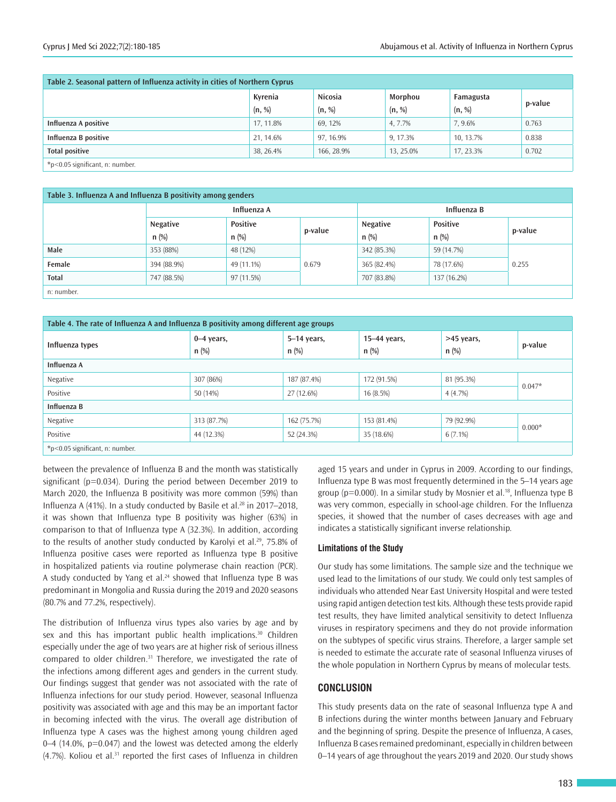| Table 2. Seasonal pattern of Influenza activity in cities of Northern Cyprus |                   |                   |                   |                     |         |  |
|------------------------------------------------------------------------------|-------------------|-------------------|-------------------|---------------------|---------|--|
|                                                                              | Kyrenia<br>(n, %) | Nicosia<br>(n, %) | Morphou<br>(n, %) | Famagusta<br>(n, %) | p-value |  |
| Influenza A positive                                                         | 17, 11.8%         | 69.12%            | 4.7.7%            | 7.9.6%              | 0.763   |  |
| Influenza B positive                                                         | 21, 14.6%         | 97, 16.9%         | 9.17.3%           | 10.13.7%            | 0.838   |  |
| <b>Total positive</b>                                                        | 38, 26.4%         | 166, 28.9%        | 13.25.0%          | 17.23.3%            | 0.702   |  |
| $*$ p < 0.05 significant, n: number.                                         |                   |                   |                   |                     |         |  |

#### **Table 3. Influenza A and Influenza B positivity among genders**

|              | Influenza A         |                            |         | Influenza B         |                            |         |
|--------------|---------------------|----------------------------|---------|---------------------|----------------------------|---------|
|              | Negative<br>$n$ (%) | <b>Positive</b><br>$n$ (%) | p-value | Negative<br>$n$ (%) | <b>Positive</b><br>$n$ (%) | p-value |
| Male         | 353 (88%)           | 48 (12%)                   | 0.679   | 342 (85.3%)         | 59 (14.7%)                 | 0.255   |
| Female       | 394 (88.9%)         | 49 (11.1%)                 |         | 365 (82.4%)         | 78 (17.6%)                 |         |
| <b>Total</b> | 747 (88.5%)         | 97 (11.5%)                 |         | 707 (83.8%)         | 137 (16.2%)                |         |
| n: number.   |                     |                            |         |                     |                            |         |

| Table 4. The rate of Influenza A and Influenza B positivity among different age groups |                         |                          |                         |                       |          |  |  |
|----------------------------------------------------------------------------------------|-------------------------|--------------------------|-------------------------|-----------------------|----------|--|--|
| Influenza types                                                                        | $0-4$ years,<br>$n$ (%) | $5-14$ years,<br>$n$ (%) | 15-44 years,<br>$n$ (%) | >45 years,<br>$n$ (%) | p-value  |  |  |
| Influenza A                                                                            |                         |                          |                         |                       |          |  |  |
| Negative                                                                               | 307 (86%)               | 187 (87.4%)              | 172 (91.5%)             | 81 (95.3%)            |          |  |  |
| Positive                                                                               | 50 (14%)                | 27 (12.6%)               | 16(8.5%)                | $4(4.7\%)$            | $0.047*$ |  |  |
| Influenza B                                                                            |                         |                          |                         |                       |          |  |  |
| Negative                                                                               | 313 (87.7%)             | 162 (75.7%)              | 153 (81.4%)             | 79 (92.9%)            |          |  |  |
| Positive                                                                               | 44 (12.3%)              | 52 (24.3%)               | 35 (18.6%)              | $6(7.1\%)$            | $0.000*$ |  |  |
| $*$ p < 0.05 significant, n: number.                                                   |                         |                          |                         |                       |          |  |  |

between the prevalence of Influenza B and the month was statistically significant (p=0.034). During the period between December 2019 to March 2020, the Influenza B positivity was more common (59%) than Influenza A (41%). In a study conducted by Basile et al.<sup>28</sup> in 2017–2018, it was shown that Influenza type B positivity was higher (63%) in comparison to that of Influenza type A (32.3%). In addition, according to the results of another study conducted by Karolyi et al.<sup>29</sup>, 75.8% of Influenza positive cases were reported as Influenza type B positive in hospitalized patients via routine polymerase chain reaction (PCR). A study conducted by Yang et al. $24$  showed that Influenza type B was predominant in Mongolia and Russia during the 2019 and 2020 seasons (80.7% and 77.2%, respectively).

The distribution of Influenza virus types also varies by age and by sex and this has important public health implications.<sup>30</sup> Children especially under the age of two years are at higher risk of serious illness compared to older children.<sup>31</sup> Therefore, we investigated the rate of the infections among different ages and genders in the current study. Our findings suggest that gender was not associated with the rate of Influenza infections for our study period. However, seasonal Influenza positivity was associated with age and this may be an important factor in becoming infected with the virus. The overall age distribution of Influenza type A cases was the highest among young children aged 0–4 (14.0%, p=0.047) and the lowest was detected among the elderly  $(4.7%)$ . Koliou et al.<sup>31</sup> reported the first cases of Influenza in children

aged 15 years and under in Cyprus in 2009. According to our findings, Influenza type B was most frequently determined in the 5–14 years age group (p=0.000). In a similar study by Mosnier et al.<sup>18</sup>, Influenza type B was very common, especially in school-age children. For the Influenza species, it showed that the number of cases decreases with age and indicates a statistically significant inverse relationship.

### **Limitations of the Study**

Our study has some limitations. The sample size and the technique we used lead to the limitations of our study. We could only test samples of individuals who attended Near East University Hospital and were tested using rapid antigen detection test kits. Although these tests provide rapid test results, they have limited analytical sensitivity to detect Influenza viruses in respiratory specimens and they do not provide information on the subtypes of specific virus strains. Therefore, a larger sample set is needed to estimate the accurate rate of seasonal Influenza viruses of the whole population in Northern Cyprus by means of molecular tests.

## **CONCLUSION**

This study presents data on the rate of seasonal Influenza type A and B infections during the winter months between January and February and the beginning of spring. Despite the presence of Influenza, A cases, Influenza B cases remained predominant, especially in children between 0–14 years of age throughout the years 2019 and 2020. Our study shows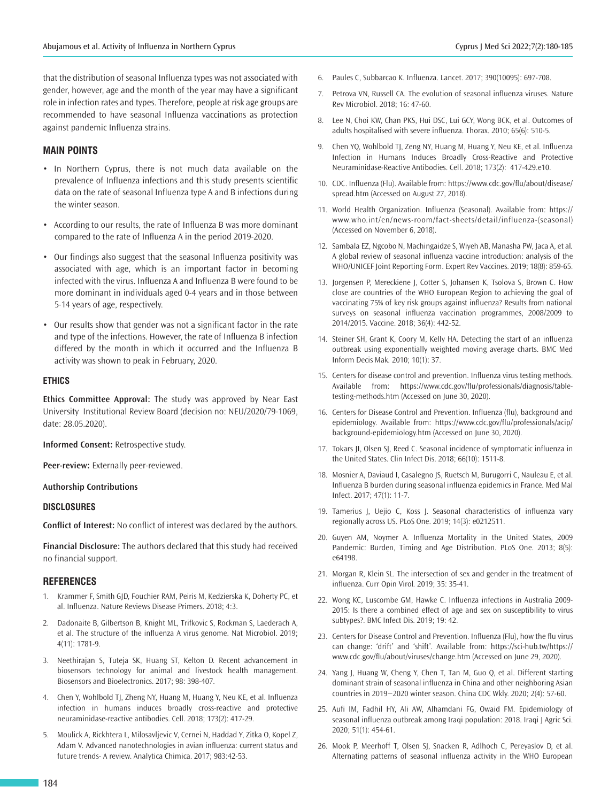that the distribution of seasonal Influenza types was not associated with gender, however, age and the month of the year may have a significant role in infection rates and types. Therefore, people at risk age groups are recommended to have seasonal Influenza vaccinations as protection against pandemic Influenza strains.

## **MAIN POINTS**

- In Northern Cyprus, there is not much data available on the prevalence of Influenza infections and this study presents scientific data on the rate of seasonal Influenza type A and B infections during the winter season.
- According to our results, the rate of Influenza B was more dominant compared to the rate of Influenza A in the period 2019-2020.
- Our findings also suggest that the seasonal Influenza positivity was associated with age, which is an important factor in becoming infected with the virus. Influenza A and Influenza B were found to be more dominant in individuals aged 0-4 years and in those between 5-14 years of age, respectively.
- Our results show that gender was not a significant factor in the rate and type of the infections. However, the rate of Influenza B infection differed by the month in which it occurred and the Influenza B activity was shown to peak in February, 2020.

## **ETHICS**

**Ethics Committee Approval:** The study was approved by Near East University Institutional Review Board (decision no: NEU/2020/79-1069, date: 28.05.2020).

**Informed Consent:** Retrospective study.

**Peer-review:** Externally peer-reviewed.

#### **Authorship Contributions**

### **DISCLOSURES**

**Conflict of Interest:** No conflict of interest was declared by the authors.

**Financial Disclosure:** The authors declared that this study had received no financial support.

#### **REFERENCES**

- 1. Krammer F, Smith GJD, Fouchier RAM, Peiris M, Kedzierska K, Doherty PC, et al. Influenza. Nature Reviews Disease Primers. 2018; 4:3.
- 2. Dadonaite B, Gilbertson B, Knight ML, Trifkovic S, Rockman S, Laederach A, et al. The structure of the influenza A virus genome. Nat Microbiol. 2019; 4(11): 1781-9.
- 3. Neethirajan S, Tuteja SK, Huang ST, Kelton D. Recent advancement in biosensors technology for animal and livestock health management. Biosensors and Bioelectronics. 2017; 98: 398-407.
- 4. Chen Y, Wohlbold TJ, Zheng NY, Huang M, Huang Y, Neu KE, et al. Influenza infection in humans induces broadly cross-reactive and protective neuraminidase-reactive antibodies. Cell. 2018; 173(2): 417-29.
- 5. Moulick A, Rickhtera L, Milosavljevic V, Cernei N, Haddad Y, Zitka O, Kopel Z, Adam V. Advanced nanotechnologies in avian influenza: current status and future trends- A review. Analytica Chimica. 2017; 983:42-53.
- 6. Paules C, Subbarcao K. Influenza. Lancet. 2017; 390(10095): 697-708.
- 7. Petrova VN, Russell CA. The evolution of seasonal influenza viruses. Nature Rev Microbiol. 2018; 16: 47-60.
- 8. Lee N, Choi KW, Chan PKS, Hui DSC, Lui GCY, Wong BCK, et al. Outcomes of adults hospitalised with severe influenza. Thorax. 2010; 65(6): 510-5.
- Chen YQ, Wohlbold TJ, Zeng NY, Huang M, Huang Y, Neu KE, et al. Influenza Infection in Humans Induces Broadly Cross-Reactive and Protective Neuraminidase-Reactive Antibodies. Cell. 2018; 173(2): 417-429.e10.
- 10. CDC. Influenza (Flu). Available from: https://www.cdc.gov/flu/about/disease/ spread.htm (Accessed on August 27, 2018).
- 11. World Health Organization. Influenza (Seasonal). Available from: https:// www.who.int/en/news-room/fact-sheets/detail/influenza-(seasonal) (Accessed on November 6, 2018).
- 12. Sambala EZ, Ngcobo N, Machingaidze S, Wiyeh AB, Manasha PW, Jaca A, et al*.* A global review of seasonal influenza vaccine introduction: analysis of the WHO/UNICEF Joint Reporting Form. Expert Rev Vaccines. 2019; 18(8): 859-65.
- 13. Jorgensen P, Mereckiene J, Cotter S, Johansen K, Tsolova S, Brown C. How close are countries of the WHO European Region to achieving the goal of vaccinating 75% of key risk groups against influenza? Results from national surveys on seasonal influenza vaccination programmes, 2008/2009 to 2014/2015. Vaccine. 2018; 36(4): 442-52.
- 14. Steiner SH, Grant K, Coory M, Kelly HA. Detecting the start of an influenza outbreak using exponentially weighted moving average charts. BMC Med Inform Decis Mak*.* 2010; 10(1): 37.
- 15. Centers for disease control and prevention. Influenza virus testing methods. Available from: https://www.cdc.gov/flu/professionals/diagnosis/tabletesting-methods.htm (Accessed on June 30, 2020).
- 16. Centers for Disease Control and Prevention. Influenza (flu), background and epidemiology. Available from: https://www.cdc.gov/flu/professionals/acip/ background-epidemiology.htm (Accessed on June 30, 2020).
- 17. Tokars JI, Olsen SJ, Reed C. Seasonal incidence of symptomatic influenza in the United States. Clin Infect Dis. 2018; 66(10): 1511-8.
- 18. Mosnier A, Daviaud I, Casalegno JS, Ruetsch M, Burugorri C, Nauleau E, et al. Influenza B burden during seasonal influenza epidemics in France. Med Mal Infect. 2017; 47(1): 11-7.
- 19. Tamerius J, Uejio C, Koss J. Seasonal characteristics of influenza vary regionally across US. PLoS One. 2019; 14(3): e0212511.
- 20. Guyen AM, Noymer A. Influenza Mortality in the United States, 2009 Pandemic: Burden, Timing and Age Distribution. PLoS One. 2013; 8(5): e64198.
- 21. Morgan R, Klein SL. The intersection of sex and gender in the treatment of influenza. Curr Opin Virol*.* 2019; 35: 35-41.
- 22. Wong KC, Luscombe GM, Hawke C. Influenza infections in Australia 2009- 2015: Is there a combined effect of age and sex on susceptibility to virus subtypes?. BMC Infect Dis. 2019; 19: 42.
- 23. Centers for Disease Control and Prevention. Influenza (Flu), how the flu virus can change: 'drift' and 'shift'. Available from: https://sci-hub.tw/https:// www.cdc.gov/flu/about/viruses/change.htm (Accessed on June 29, 2020).
- 24. Yang J, Huang W, Cheng Y, Chen T, Tan M, Guo Q, et al. Different starting dominant strain of seasonal influenza in China and other neighboring Asian countries in 2019−2020 winter season. China CDC Wkly. 2020; 2(4): 57-60.
- 25. Aufi IM, Fadhil HY, Ali AW, Alhamdani FG, Owaid FM. Epidemiology of seasonal influenza outbreak among Iraqi population: 2018. Iraqi J Agric Sci. 2020; 51(1): 454-61.
- 26. Mook P, Meerhoff T, Olsen SJ, Snacken R, Adlhoch C, Pereyaslov D, et al. Alternating patterns of seasonal influenza activity in the WHO European